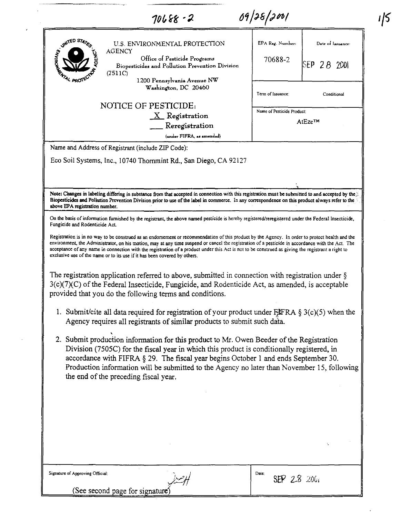|                         | $70688 - 2$                                                                                                                                                                                                                                                                                                                                                                                                                                                                                                                                                                                                                                                                                                                                                                                                                                                                                                                                                                                                                                                                                                                                                                                                                                                                                                                                                                                                          | 09/28/2001                 |                     |
|-------------------------|----------------------------------------------------------------------------------------------------------------------------------------------------------------------------------------------------------------------------------------------------------------------------------------------------------------------------------------------------------------------------------------------------------------------------------------------------------------------------------------------------------------------------------------------------------------------------------------------------------------------------------------------------------------------------------------------------------------------------------------------------------------------------------------------------------------------------------------------------------------------------------------------------------------------------------------------------------------------------------------------------------------------------------------------------------------------------------------------------------------------------------------------------------------------------------------------------------------------------------------------------------------------------------------------------------------------------------------------------------------------------------------------------------------------|----------------------------|---------------------|
| UNITED ST               | U.S. ENVIRONMENTAL PROTECTION<br><b>AGENCY</b>                                                                                                                                                                                                                                                                                                                                                                                                                                                                                                                                                                                                                                                                                                                                                                                                                                                                                                                                                                                                                                                                                                                                                                                                                                                                                                                                                                       | EPA Reg. Number:           | Date of Issuance:   |
| A REPORT OF THE PACIFIC | Office of Pesticide Programs<br>Biopesticides and Pollution Prevention Division<br>(7511C)                                                                                                                                                                                                                                                                                                                                                                                                                                                                                                                                                                                                                                                                                                                                                                                                                                                                                                                                                                                                                                                                                                                                                                                                                                                                                                                           | 70688-2                    | ISEP 28 2001        |
|                         | 1200 Pennsylvania Avenue NW<br>Washington, DC 20460                                                                                                                                                                                                                                                                                                                                                                                                                                                                                                                                                                                                                                                                                                                                                                                                                                                                                                                                                                                                                                                                                                                                                                                                                                                                                                                                                                  | Term of Issuance:          | Conditional         |
|                         | NOTICE OF PESTICIDE:<br>$X$ Registration<br>Reregistration                                                                                                                                                                                                                                                                                                                                                                                                                                                                                                                                                                                                                                                                                                                                                                                                                                                                                                                                                                                                                                                                                                                                                                                                                                                                                                                                                           | Name of Pesticide Product: | AtEze <sup>TM</sup> |
|                         | (under FIFRA, as amended)                                                                                                                                                                                                                                                                                                                                                                                                                                                                                                                                                                                                                                                                                                                                                                                                                                                                                                                                                                                                                                                                                                                                                                                                                                                                                                                                                                                            |                            |                     |
|                         | Eco Soil Systems, Inc., 10740 Thornmint Rd., San Diego, CA 92127                                                                                                                                                                                                                                                                                                                                                                                                                                                                                                                                                                                                                                                                                                                                                                                                                                                                                                                                                                                                                                                                                                                                                                                                                                                                                                                                                     |                            |                     |
|                         | Registration is in no way to be construed as an endorsement or recommendation of this product by the Agency. In order to protect health and the<br>environment, the Administrator, on his motion, may at any time suspend or cancel the registration of a pesticide in accordance with the Act. The<br>acceptance of any name in connection with the registration of a product under this Act is not to be construed as giving the registrant a right to<br>exclusive use of the name or to its use if it has been covered by others.<br>The registration application referred to above, submitted in connection with registration under §<br>$3(c)(7)(C)$ of the Federal Insecticide, Fungicide, and Rodenticide Act, as amended, is acceptable<br>provided that you do the following terms and conditions.<br>1. Submit/cite all data required for registration of your product under FERA § 3(c)(5) when the<br>Agency requires all registrants of similar products to submit such data.<br>2. Submit production information for this product to Mr. Owen Beeder of the Registration<br>Division (7505C) for the fiscal year in which this product is conditionally registered, in<br>accordance with FIFRA § 29. The fiscal year begins October 1 and ends September 30.<br>Production information will be submitted to the Agency no later than November 15, following<br>the end of the preceding fiscal year. |                            |                     |
|                         |                                                                                                                                                                                                                                                                                                                                                                                                                                                                                                                                                                                                                                                                                                                                                                                                                                                                                                                                                                                                                                                                                                                                                                                                                                                                                                                                                                                                                      |                            |                     |

 $\epsilon$ 

 $\bar{z}$ 

 $1/5$ 

 $\epsilon$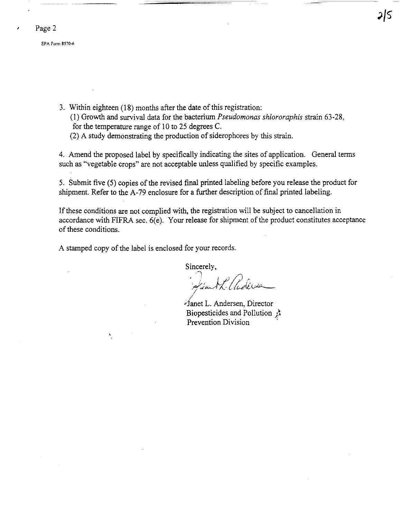**EPA Fonn 8570-6** 

3. Within eighteen (18) months after the date of this registration: (I) Growth and survival data for the bacterium *Pseudomonas shlororaphis* strain 63-28, for the temperature range of 10 to 25 degrees C. (2) A study demonstrating the production of siderophores by this strain.

4. Amend the proposed label by specifically indicating the sites of application. General terms such as "vegetable crops" are not acceptable unless qualified by specific examples.

5. Submit five (5) copies of the revised final printed labeling before you release the product for shipment. Refer to the A-79 enclosure for a further description of final printed labeling.

If these conditions are not complied with, the registration will be subject to cancellation in accordance with FIFRA sec.  $6(e)$ . Your release for shipment of the product constitutes acceptance of these conditions.

A stamped copy of the label is enclosed for your records.

 $\mathbf{v}$ 

Sincerely,

.<br>. fink Choleves

/ Janet L. Andersen, Director Biopesticides and Pollution  $\beta$ Prevention Division .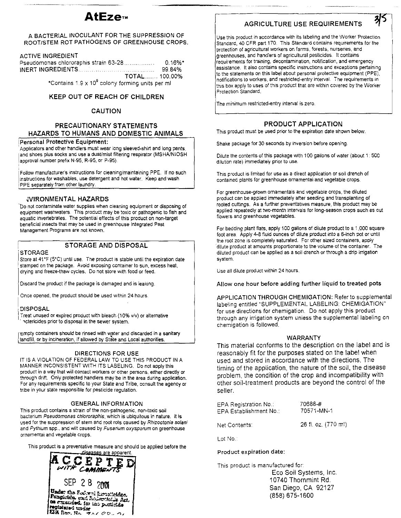# AtEze™

### A BACTERIAL INOCULANT FOR THE SUPPRESSION OF ROOT/STEM ROT PATHOGENS OF GREENHOUSE CROPS.

### ACTIVE INGREDIENT

|                                                         | 0.16%* |
|---------------------------------------------------------|--------|
|                                                         | 99.84% |
| <b>TOTAL 100.00%</b>                                    |        |
| *Contains $1.9 \times 10^9$ colony forming units per ml |        |

KEEP OUT OF REACH OF CHILDREN

## CAUTION

## PRECAUTIONARY STATEMENTS HAZARDS TO HUMANS AND DOMESTIC ANIMALS

### Personal Protective Equipment:

Applicators and other handlers must wear long sleeved-shirt and long pants, approval number prefix N-95, R-95, or P-95). and shoes plus socks and use a dust/mist filtering respirator (MSHA/NIOSH

·1 Follow manufacturer's instructions for cleaning/maintaining PPE. If no such instructions for washables, use detergent and hot water. Keep and wash PPE separately from other laundry.

### JVIRONMENTAL HAZARDS

bo not contaminate water supplies when cleaning equipment or disposing of equipment washwaters. This product may be toxic or pathogenic to fish and aquatic invertebrates. The potential effects of this product on non·target beneficial insects that may be used in greenhouse Integrated Pest Management Programs are not known.

# STORAGE AND DISPOSAL

### **STORAGE**

Store at 41°F (S"C) until use. The product is stable until the expiration date stamped on the package. Avoid exposing container to sun, excess heat, drying and freeze·thaw cycles. Do not store with food or feed.

Discard the product if the package is damaged and is leaking.

Once opened, the product should be used within 24 hours

### **DISPOSAL**

Treat unused or expired product with bleach (10% v/v) or alternative . 'ctericldes prior to disposal in the sewer system.

empty containers should be rinsed with water and discarded in a sanitary Iandfill, or by incineration, if allowed by State and Local authorities.

### DIRECTIONS FOR USE

IT IS A VIOLATION OF FEDERAL LAW TO USE THIS PRODUCT IN A MANNER INCONSISTENT WITH ITS LABELING. Do not apply this product in a way that will contact workers or other persons, either directly or through drift. Only protected handlers may be in the area during application. For any requirements specific to your State and Tribe, consult the agency or tribe in your state responsible for pesticide regulation.

### GENERAL INFORMATION

This product contains a strain of the non·pathogenic, non·toxic soil bacterium Pseudomonas chlororaphis, which is ubiquitous in nature. It is used for the suppression of stem and root rots caused by Rhizoctonia solani and Pythium spp., and wilt caused by Fusarium oxysporum on greenhouse ornamental and vegetable crops.

This product is a preventative measure and should be applied before the



# AGRICULTURE USE REQUIREMENTS

Use this product in accordance with its labeling and the Worker Protection Standard, 40 CFR part 170. This Standard contains requirements for the protection of agricultural workers on farms, forests, nurseries, and greenhouses, and handlers of agricultural pesticides. It contains requirements for training, decontamination, notification, and emergency assistance. It also contains specific instructions and exceptions pertaining to the statements on this label about personal protective equipment (PPE), notifications to workers, and restricted-entry interval. The requirements in this box apply to uses of this product that are within covered by the Worker Protection Standard.

The minimum restricted.entry interval is zero.

# PRODUCT APPLICATION

This product must be used prior to the expiration date shown below.

Shake package for 30 seconds by inversion before opening.

Dilute the contents of this package with 100 gallons of water (about 1: 500 dilution rate) immediately prior to use.

This product is limited for use as a direct application or soil drench of contained plants for greenhouse ornamental and vegetable crops.

For greenhouse·grown ornamentals and vegetable crops, the diluted product can be applied immediately after seeding and transplanting of rooted cuttings. As a further preventatives measure, this product may be applied repeatedly at two·month intervals for long·season crops such as cut flowers and greenhouse vegetables.

For bedding plant flats, apply 100 gallons of dilute product to a 1,000 square foot area. Apply 4-8 fluid ounces of dilute product into a 6-inch pot or until the root zone is completely saturated. For other sized containers, apply dilute product at amounts proportionate to the volume of the container. The diluted product can be applied as a soil drench or through a drip irrigation system

Use all dilute product within 24 hours.

Allow one hour before adding further liquid to treated pots

APPLICATION THROUGH CHEMIGATlON: Refer to supplemental labeling entitled "SUPPLEMENTAL LABELING: CHEMIGATION" for use directions for chemigation. Do not apply this product through any irrigation system unless the supplemental labeling on chemigation is followed.

### WARRANTY

This material conforms to the description on the label and is reasonably fit for the purposes stated on the label when used and stored in accordance with the directions. The timing of the application, the nature of the soil, the disease problem, the condition of the crop and incompatibility with other soil-treatment products are beyond the control of the seller.

EPA Registration No.: 70688-# EPA Establishment No.: 70571-MN-1

Net Contents: 26 fl. oz. (770 ml)

Lot No

### Product expiration date:

This product is manufactured for: Eco Soil Systems, Inc. 10740 Thornmint Rd. San Diego, CA 92127 (858) 675-1600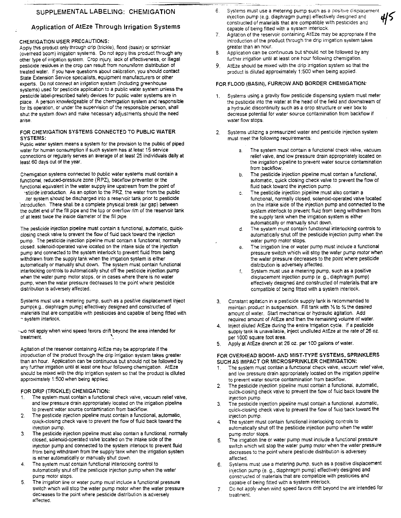# -\_.\_------- SUPPLEMENTAL LABELING: CHEMIGATION

### Application of AtEze Through Irrigation Systems

### CHEMIGATION USER PRECAUTIONS:

Apply this product only through drip (trickle), flood (basin) or sprinkler (overhead boom) irrigation systems. Do not apply this product through any other type of irrigation system. Crop injury, lack of effectiveness, or illegal pesticide residues in the crop can result from nonuniform distribution of treated water. If you have questions about calibration, you should contact State Extension Service specialists, equipment manufacturers or other experts. Do not connect an irrigation system (including greenhouse systems) used for pesticide application to a public water system unless the pesticide label·prescribed safety devices for public water systems are in place. A person knowledgeable of the chemigation system and responsible for its operation, or under the supervision of the responsible person, shall shut the system down and make necessary adjustments should the need anse.

### FOR CHEMIGATION SYSTEMS CONNECTED TO PUBLIC WATER SYSTEMS:

Public water system means a system for the provision to the public of piped water for human consumption if such system has at least 15 service connections or regularly serves an average of at least 25 individuals daily at least 60 days out of the year.

Chemigation systems connected to public water systems must contain a functional, reduced-pressure zone (RPZ), backflow preventer or the functional equivalent in the water supply line upstream from the point of

'sticide introduction. As an option to the PRZ, the water from the public

,Ier system should be discharged into a reservoir tank prior to pesticide introduction. There shall be a complete physical break (air gap) between the oultet end of the fill pipe and the top or overflow rim of the reservoir tank of at least twice the inside diameter of the fill pipe

The pesticide injection pipeline must contain a functional, automatic, quickclosing check valve to prevent the flow of fluid back toward the injection pump. The pesticide injection pipeline must contain a functional, normally closed, solenoid-operated valve located on the intake side of the injection pump and connected to the system interlock to prevent fluid from being withdrawn from the supply tank when the irrigation system is either automatically or manually shut down. The system must contain functional interlocking controls to automatically shut off the pesticide injection pump when the water pump motor stops, or in cases where there is no water pump, when the water pressure decreases to the point where pesticide distribution is adversely affected.

Systems must use a metering pump, such as a positive displacement inject pump(e.g., diaphragm pump) effectively designed and constructed of materials that are compatible with pesticides and capable of being fitted with .., system interlock.

o not apply when wind speed favors drift beyond the area intended for treatment. \.

Agitation of the reservoir containing AtEze may be appropriate if the introduction of the product through the drip irrigation system takes greater than an hour. Application can be continuous but should not be followed by any further irrigation until at least one hour following chemigation. AtEze should be mixed with the drip irrigation system so that the product is diluted approximately 1:500 when being applied.

### FOR DRIP (TRICKLE) CHEMIGATION:

- 1. The system must contain a functional check valve, vacuum relief valve, and low pressure drain appropriately located on the irrigation pipeline to prevent water source contamination from backflow.
- 2. The pesticide injection pipeline must contain a functional, automatic, quick-closing check valve to prevent the flow of fluid back toward the injection pump.
- 3 The pesticide injection pipeline must also contain a functional, normally closed, so!enoid~operated valve located on the intake side of the injection pump and connected to the system interlock to prevent fluid from being withdrawn from the supply tank when the irrigation system is either automatically or manually shut down.
- 4. The system must contain functional interlocking control to automatically shut off the·pesticide injection pump when the water pump motor stops.
- 5. The irrigation line or water pump must include a functional pressure switch which will stop the water pump motor when the water pressure decreases to the point where pesticide distribution is adversely affected.
- 6 Systems must use a metering pump such as a positive displacement  $\mathcal{U}\mathcal{S}$ injection pump (e.g. diaphragm pump) effectively designed and constructed of materials that are compatible with pesticides and capable of being fitted with a system interlock.
- 7. Agitation of the reservoir containing AtEze may be appropriate if the introduction of the product through the drip irrigation system takes greater than an hour.
- 8 Application can be continuous but should not be followed by any further irrigation until at least one hour following chemigation,
- 9. AtEze should be mixed with the drip irrigation system so that the product is diluted approximately 1 :500 when being applied.

### FOR FLOOD (BASIN), FURROW AND BORDER CHEMIGATION:

- Systems using a gravity flow pesticide dispensing system must meter the pesticide into the water at the head of the field and downstream of a hydraulic discontinuity such as a drop structure or weir box to decrease potential for water source contamination from backflow jf water flow stops
- 2. Systems utilizing a pressurized water and pesticide injection system must meet the following requirements:
	- a. The system must contain a functional check valve, vacuum relief valve, and low pressure drain appropriately located on the irrigation pipeline to prevent water source contamination from backflow.
	- b. The pesticide injection pipeline must contain a functional, automatic, quick closing check valve to prevent the flow of fluid back toward the injection pump.
	- c. The pesticide injection pipeline must also contain a functional, normally closed, solenoid-operated valve located on the intake side of the injection pump and connected to the system interlock to prevent fluid from being withdrawn from the supply tank when the irrigation system is either automatically or manually shut down.
	- d The system must contain functional interlocking controls to automatically shut off the pesticide injection pump when the water pump motor stops.
	- The irrigation line or water pump must include a functional pressure switch which will stop the water pump motor when the water pressure decreases to the point where pesticide distribution is adversely affected.
	- 1. System must use a metering pump, such as a positive displacement injection pump (e. g., diaphragm pump) effectively designed and constructed of materials that are compatible of being fitted with a system interlock.
- 3. Constant agitation in a pesticide supply tank is recommended to maintain product in suspension. Fill tank with  $\frac{1}{2}$  to  $\frac{3}{2}$  the desired amount of water. Start mechanical or hydraulic agitation. Add required amount of AtEze and then the remaining volume of water .
- 4. Inject diluted AtEze during the entire irrigation cycle. If a pesticide supply tank is unavailable, inject undiluted AtEze at the rate of 26 oz. per 1000 square foot area.
- S. Apply at AtEze drench at 26 oz. per 100 gallons of water.

### FOR OVERHEAD BOOM- AND MIST.TYPE SYSTEMS, SPRINKLERS SUCH AS IMPACT OR MICROSPRINKLER CHEMIGATION:

- 1. The system must contain a functional check valve, vacuum relief valve, and low pressure drain appropriately iocated on the irrigation pipeline to prevent water source contamination from backflow.
- 2. The pesticide injection pipeline must contain a functional, automatic, quick~closing check valve to prevent the flow of fluid back toware the injection pump,
- 3. The pesticide injection pipeline must contain a functional, automatic, quick-closing check valve to prevent the flow of fluid back toward the injection pump.
- 4 The system must contain functional interlocking controls to automatically shut off the pesticide injection pump when the water pump motor stops.
- 5. The irrigation line or water pump must include a functional pressure switch which will stop the water pump motor when the water pressure decreases to the point where pesticide distribution is adversely affected.
- 6. Systems must use a metering pump, such as a positive displacement injection pump (e. g., diaphragm pump) effectively designed and constructed of materials that are compatible with pesticides and capable of being fitted with a system interlock.
- 7 Do not apply when wind speed favors drift beyond the are intended for treatment